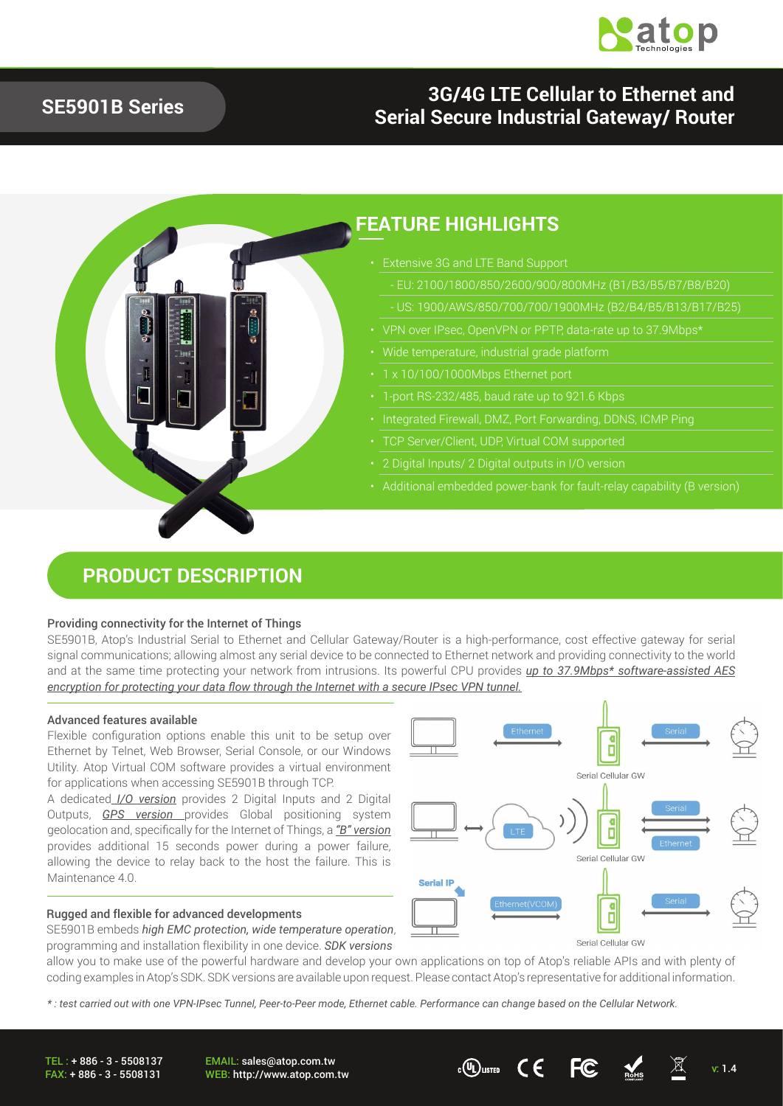

### **SE5901B Series**

### **3G/4G LTE Cellular to Ethernet and Serial Secure Industrial Gateway/ Router**



### **FEATURE HIGHLIGHTS**

- Extensive 3G and LTE Band Support
	- EU: 2100/1800/850/2600/900/800MHz (B1/B3/B5/B7/B8/B20)
	-
- 
- 
- 
- 1-port RS-232/485, baud rate up to 921.6 Kbps
- 
- TCP Server/Client, UDP, Virtual COM supported
- 
- Additional embedded power-bank for fault-relay capability (B version)

### **PRODUCT DESCRIPTION**

#### Providing connectivity for the Internet of Things

SE5901B, Atop's Industrial Serial to Ethernet and Cellular Gateway/Router is a high-performance, cost effective gateway for serial signal communications; allowing almost any serial device to be connected to Ethernet network and providing connectivity to the world and at the same time protecting your network from intrusions. Its powerful CPU provides *up to 37.9Mbps\* software-assisted AES encryption for protecting your data flow through the Internet with a secure IPsec VPN tunnel.*

#### Advanced features available

Flexible configuration options enable this unit to be setup over Ethernet by Telnet, Web Browser, Serial Console, or our Windows Utility. Atop Virtual COM software provides a virtual environment for applications when accessing SE5901B through TCP.

A dedicated *I/O version* provides 2 Digital Inputs and 2 Digital Outputs, *GPS version* provides Global positioning system geolocation and, specifically for the Internet of Things, a *"B" version* provides additional 15 seconds power during a power failure, allowing the device to relay back to the host the failure. This is Maintenance 4.0

#### Rugged and flexible for advanced developments

SE5901B embeds *high EMC protection, wide temperature operation*, programming and installation flexibility in one device. *SDK versions*

Ō Serial Cellular GW ī Serial Cellular GW **Serial IP** П

Serial Cellular GW



*\* : test carried out with one VPN-IPsec Tunnel, Peer-to-Peer mode, Ethernet cable. Performance can change based on the Cellular Network.* 

TEL : + 886 - 3 - 5508137 FAX: + 886 - 3 - 5508131

EMAIL: sales@atop.com.tw WEB: http://www.atop.com.tw v: 1.4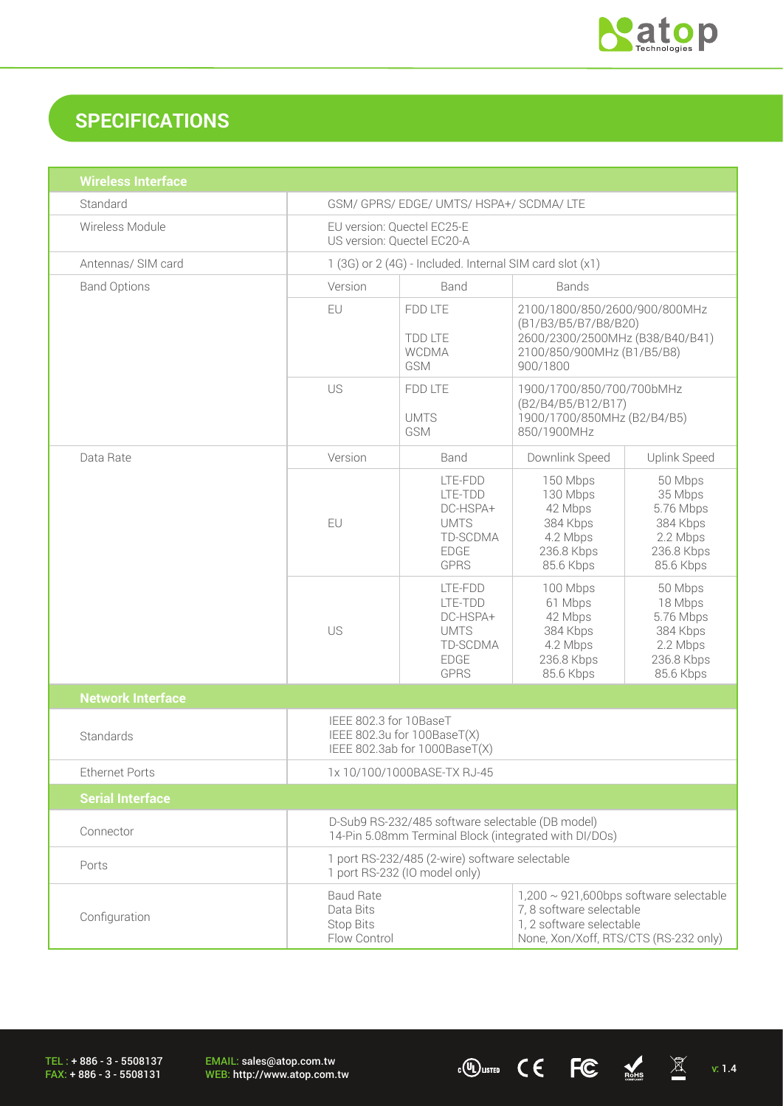

# **SPECIFICATIONS**

| <b>Wireless Interface</b> |                                                                                                                                                                                                                    |                                                                                         |                                                                                                                                    |                                                                                    |  |
|---------------------------|--------------------------------------------------------------------------------------------------------------------------------------------------------------------------------------------------------------------|-----------------------------------------------------------------------------------------|------------------------------------------------------------------------------------------------------------------------------------|------------------------------------------------------------------------------------|--|
| Standard                  | GSM/ GPRS/ EDGE/ UMTS/ HSPA+/ SCDMA/ LTE                                                                                                                                                                           |                                                                                         |                                                                                                                                    |                                                                                    |  |
| Wireless Module           | EU version: Quectel EC25-E<br>US version: Quectel EC20-A                                                                                                                                                           |                                                                                         |                                                                                                                                    |                                                                                    |  |
| Antennas/ SIM card        | 1 (3G) or 2 (4G) - Included. Internal SIM card slot (x1)                                                                                                                                                           |                                                                                         |                                                                                                                                    |                                                                                    |  |
| <b>Band Options</b>       | Version                                                                                                                                                                                                            | Band<br><b>Bands</b>                                                                    |                                                                                                                                    |                                                                                    |  |
|                           | EU                                                                                                                                                                                                                 | FDD LTE<br><b>TDD LTE</b><br><b>WCDMA</b><br>GSM                                        | 2100/1800/850/2600/900/800MHz<br>(B1/B3/B5/B7/B8/B20)<br>2600/2300/2500MHz (B38/B40/B41)<br>2100/850/900MHz (B1/B5/B8)<br>900/1800 |                                                                                    |  |
|                           | US                                                                                                                                                                                                                 | FDD LTE<br><b>UMTS</b><br><b>GSM</b>                                                    | 1900/1700/850/700/700bMHz<br>(B2/B4/B5/B12/B17)<br>1900/1700/850MHz (B2/B4/B5)<br>850/1900MHz                                      |                                                                                    |  |
| Data Rate                 | Version                                                                                                                                                                                                            | Band                                                                                    | Downlink Speed                                                                                                                     | Uplink Speed                                                                       |  |
|                           | EU                                                                                                                                                                                                                 | LTE-FDD<br>LTE-TDD<br>DC-HSPA+<br><b>UMTS</b><br>TD-SCDMA<br><b>EDGE</b><br><b>GPRS</b> | 150 Mbps<br>130 Mbps<br>42 Mbps<br>384 Kbps<br>4.2 Mbps<br>236.8 Kbps<br>85.6 Kbps                                                 | 50 Mbps<br>35 Mbps<br>5.76 Mbps<br>384 Kbps<br>2.2 Mbps<br>236.8 Kbps<br>85.6 Kbps |  |
|                           | US                                                                                                                                                                                                                 | LTE-FDD<br>LTE-TDD<br>DC-HSPA+<br><b>UMTS</b><br>TD-SCDMA<br><b>EDGE</b><br><b>GPRS</b> | 100 Mbps<br>61 Mbps<br>42 Mbps<br>384 Kbps<br>4.2 Mbps<br>236.8 Kbps<br>85.6 Kbps                                                  | 50 Mbps<br>18 Mbps<br>5.76 Mbps<br>384 Kbps<br>2.2 Mbps<br>236.8 Kbps<br>85.6 Kbps |  |
| <b>Network Interface</b>  |                                                                                                                                                                                                                    |                                                                                         |                                                                                                                                    |                                                                                    |  |
| Standards                 | IEEE 802.3 for 10BaseT<br>IEEE 802.3u for 100BaseT(X)<br>IEEE 802.3ab for 1000BaseT(X)                                                                                                                             |                                                                                         |                                                                                                                                    |                                                                                    |  |
| <b>Ethernet Ports</b>     | 1x 10/100/1000BASE-TX RJ-45                                                                                                                                                                                        |                                                                                         |                                                                                                                                    |                                                                                    |  |
| <b>Serial Interface</b>   |                                                                                                                                                                                                                    |                                                                                         |                                                                                                                                    |                                                                                    |  |
| Connector                 | D-Sub9 RS-232/485 software selectable (DB model)<br>14-Pin 5.08mm Terminal Block (integrated with DI/DOs)                                                                                                          |                                                                                         |                                                                                                                                    |                                                                                    |  |
| Ports                     | 1 port RS-232/485 (2-wire) software selectable<br>1 port RS-232 (IO model only)                                                                                                                                    |                                                                                         |                                                                                                                                    |                                                                                    |  |
| Configuration             | $1,200 \sim 921,600$ bps software selectable<br><b>Baud Rate</b><br>7, 8 software selectable<br>Data Bits<br>1, 2 software selectable<br><b>Stop Bits</b><br>Flow Control<br>None, Xon/Xoff, RTS/CTS (RS-232 only) |                                                                                         |                                                                                                                                    |                                                                                    |  |

TEL : + 886 - 3 - 5508137 FAX: + 886 - 3 - 5508131

EMAIL: sales@atop.com.tw<br>WEB: http://www.atop.com.tw

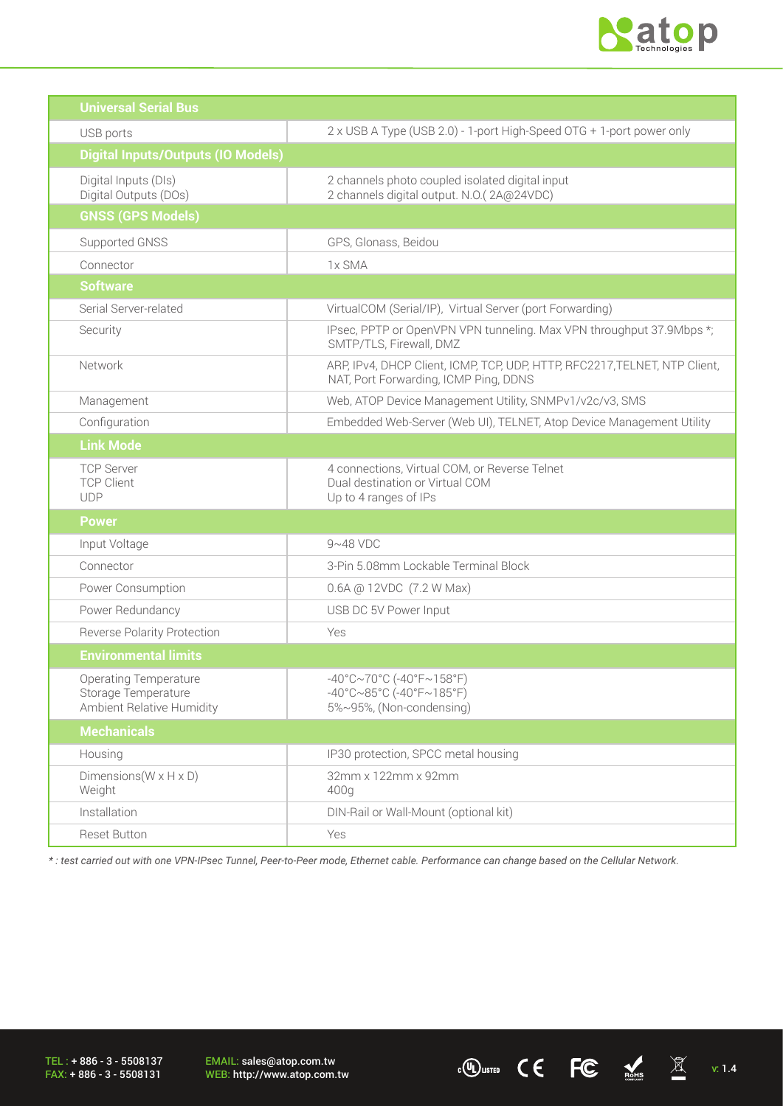

 $\cdot$  (U) LISTED C C FC ROHS  $\overline{\mathbb{X}}$  v: 1.4

| <b>Universal Serial Bus</b>                                                      |                                                                                                                                  |  |
|----------------------------------------------------------------------------------|----------------------------------------------------------------------------------------------------------------------------------|--|
| USB ports                                                                        | 2 x USB A Type (USB 2.0) - 1-port High-Speed OTG + 1-port power only                                                             |  |
| <b>Digital Inputs/Outputs (IO Models)</b>                                        |                                                                                                                                  |  |
| Digital Inputs (DIs)<br>Digital Outputs (DOs)                                    | 2 channels photo coupled isolated digital input<br>2 channels digital output. N.O.(2A@24VDC)                                     |  |
| <b>GNSS (GPS Models)</b>                                                         |                                                                                                                                  |  |
| Supported GNSS                                                                   | GPS, Glonass, Beidou                                                                                                             |  |
| Connector                                                                        | 1x SMA                                                                                                                           |  |
| <b>Software</b>                                                                  |                                                                                                                                  |  |
| Serial Server-related                                                            | VirtualCOM (Serial/IP), Virtual Server (port Forwarding)                                                                         |  |
| Security                                                                         | IPsec, PPTP or OpenVPN VPN tunneling. Max VPN throughput 37.9Mbps *;<br>SMTP/TLS, Firewall, DMZ                                  |  |
| Network                                                                          | ARP, IPv4, DHCP Client, ICMP, TCP, UDP, HTTP, RFC2217, TELNET, NTP Client,<br>NAT, Port Forwarding, ICMP Ping, DDNS              |  |
| Management                                                                       | Web, ATOP Device Management Utility, SNMPv1/v2c/v3, SMS                                                                          |  |
| Configuration                                                                    | Embedded Web-Server (Web UI), TELNET, Atop Device Management Utility                                                             |  |
| <b>Link Mode</b>                                                                 |                                                                                                                                  |  |
| <b>TCP Server</b><br><b>TCP Client</b><br><b>UDP</b>                             | 4 connections, Virtual COM, or Reverse Telnet<br>Dual destination or Virtual COM<br>Up to 4 ranges of IPs                        |  |
| <b>Power</b>                                                                     |                                                                                                                                  |  |
| Input Voltage                                                                    | $9~48$ VDC                                                                                                                       |  |
| Connector                                                                        | 3-Pin 5.08mm Lockable Terminal Block                                                                                             |  |
| Power Consumption                                                                | 0.6A @ 12VDC (7.2 W Max)                                                                                                         |  |
| Power Redundancy                                                                 | USB DC 5V Power Input                                                                                                            |  |
| <b>Reverse Polarity Protection</b>                                               | Yes                                                                                                                              |  |
| <b>Environmental limits</b>                                                      |                                                                                                                                  |  |
| <b>Operating Temperature</b><br>Storage Temperature<br>Ambient Relative Humidity | $-40^{\circ}$ C $\sim$ 70°C (-40°F $\sim$ 158°F)<br>$-40^{\circ}$ C $\sim$ 85°C (-40°F $\sim$ 185°F)<br>5%~95%, (Non-condensing) |  |
| <b>Mechanicals</b>                                                               |                                                                                                                                  |  |
| Housing                                                                          | IP30 protection, SPCC metal housing                                                                                              |  |
| Dimensions ( $W \times H \times D$ )<br>Weight                                   | 32mm x 122mm x 92mm<br>400q                                                                                                      |  |
| Installation                                                                     | DIN-Rail or Wall-Mount (optional kit)                                                                                            |  |
| Reset Button                                                                     | Yes                                                                                                                              |  |

*\* : test carried out with one VPN-IPsec Tunnel, Peer-to-Peer mode, Ethernet cable. Performance can change based on the Cellular Network.* 

TEL : + 886 - 3 - 5508137 FAX: + 886 - 3 - 5508131

EMAIL: sales@atop.com.tw<br>WEB: http://www.atop.com.tw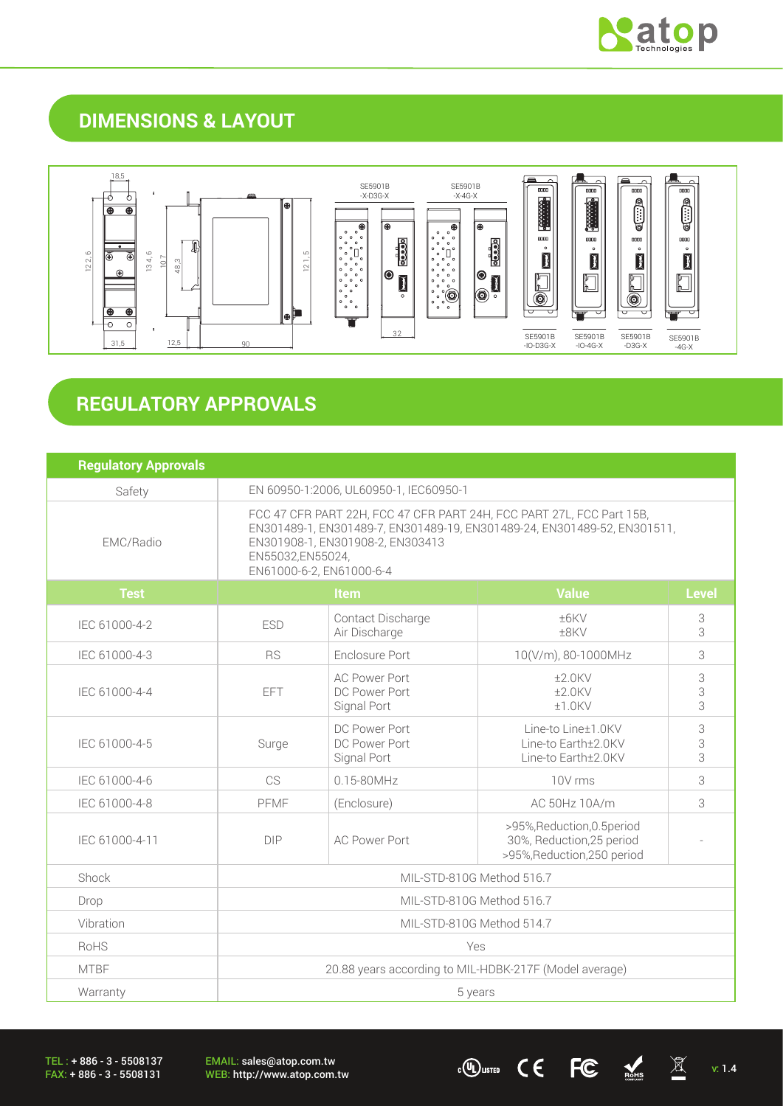

## **DIMENSIONS & LAYOUT**



## **REGULATORY APPROVALS**

| <b>Regulatory Approvals</b> |                                                                                                                                                                                                                                       |                                                      |                                                                                         |              |
|-----------------------------|---------------------------------------------------------------------------------------------------------------------------------------------------------------------------------------------------------------------------------------|------------------------------------------------------|-----------------------------------------------------------------------------------------|--------------|
| Safety                      | EN 60950-1:2006, UL60950-1, IEC60950-1                                                                                                                                                                                                |                                                      |                                                                                         |              |
| EMC/Radio                   | FCC 47 CFR PART 22H, FCC 47 CFR PART 24H, FCC PART 27L, FCC Part 15B,<br>EN301489-1, EN301489-7, EN301489-19, EN301489-24, EN301489-52, EN301511,<br>EN301908-1, EN301908-2, EN303413<br>EN55032,EN55024,<br>EN61000-6-2, EN61000-6-4 |                                                      |                                                                                         |              |
| <b>Test</b>                 |                                                                                                                                                                                                                                       | Item                                                 | <b>Value</b>                                                                            | <b>Level</b> |
| IEC 61000-4-2               | <b>ESD</b>                                                                                                                                                                                                                            | Contact Discharge<br>Air Discharge                   | ±6KV<br>±8KV                                                                            | 3<br>3       |
| IEC 61000-4-3               | Enclosure Port<br><b>RS</b>                                                                                                                                                                                                           |                                                      | 10(V/m), 80-1000MHz                                                                     | 3            |
| IEC 61000-4-4               | <b>EFT</b>                                                                                                                                                                                                                            | <b>AC Power Port</b><br>DC Power Port<br>Signal Port | $±2.0$ KV<br>$±2.0$ KV<br>$±1.0$ KV                                                     | 3<br>3<br>3  |
| IEC 61000-4-5               | Surge                                                                                                                                                                                                                                 | DC Power Port<br>DC Power Port<br>Signal Port        | Line-to Line±1.0KV<br>Line-to Earth±2.0KV<br>Line-to Earth±2.0KV                        | 3<br>3<br>3  |
| IEC 61000-4-6               | CS                                                                                                                                                                                                                                    | $0.15 - 80$ MHz                                      | 10V rms                                                                                 | 3            |
| IEC 61000-4-8               | PFMF                                                                                                                                                                                                                                  | (Enclosure)                                          | AC 50Hz 10A/m                                                                           | 3            |
| IEC 61000-4-11              | <b>DIP</b>                                                                                                                                                                                                                            | <b>AC Power Port</b>                                 | >95%, Reduction, 0.5 period<br>30%, Reduction, 25 period<br>>95%, Reduction, 250 period |              |
| Shock                       | MIL-STD-810G Method 516.7                                                                                                                                                                                                             |                                                      |                                                                                         |              |
| Drop                        | MIL-STD-810G Method 516.7                                                                                                                                                                                                             |                                                      |                                                                                         |              |
| Vibration                   | MIL-STD-810G Method 514.7                                                                                                                                                                                                             |                                                      |                                                                                         |              |
| RoHS                        | Yes                                                                                                                                                                                                                                   |                                                      |                                                                                         |              |
| <b>MTBF</b>                 | 20.88 years according to MIL-HDBK-217F (Model average)                                                                                                                                                                                |                                                      |                                                                                         |              |
| Warranty                    | 5 years                                                                                                                                                                                                                               |                                                      |                                                                                         |              |

TEL : + 886 - 3 - 5508137 FAX: + 886 - 3 - 5508131